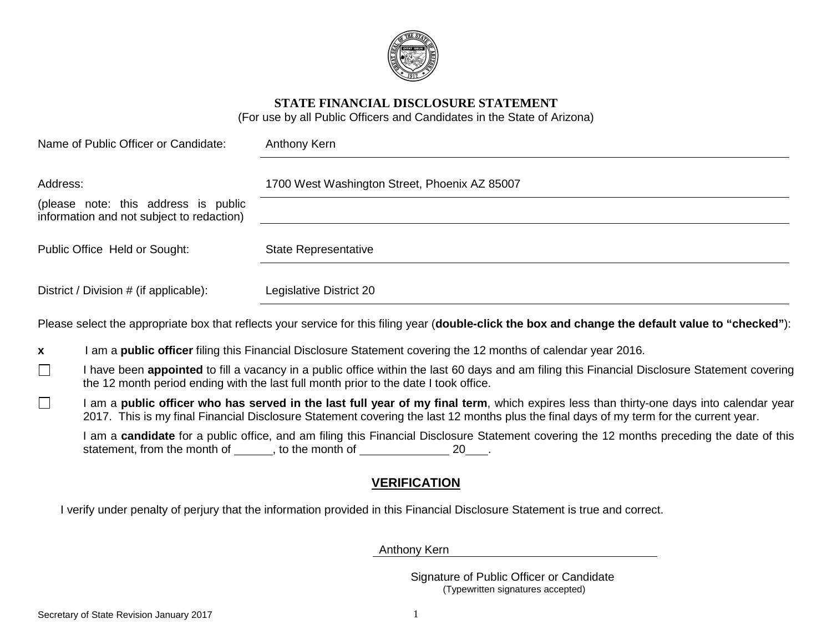

**STATE FINANCIAL DISCLOSURE STATEMENT**

(For use by all Public Officers and Candidates in the State of Arizona)

| Name of Public Officer or Candidate:                                              | Anthony Kern                                                                                                                                        |  |
|-----------------------------------------------------------------------------------|-----------------------------------------------------------------------------------------------------------------------------------------------------|--|
| Address:                                                                          | 1700 West Washington Street, Phoenix AZ 85007                                                                                                       |  |
| (please note: this address is public<br>information and not subject to redaction) |                                                                                                                                                     |  |
| Public Office Held or Sought:                                                     | <b>State Representative</b>                                                                                                                         |  |
| District / Division # (if applicable):                                            | Legislative District 20                                                                                                                             |  |
|                                                                                   | Please select the appropriate box that reflects your service for this filing year (double-click the box and change the default value to "checked"): |  |

**x** I am a **public officer** filing this Financial Disclosure Statement covering the 12 months of calendar year 2016.

- I have been **appointed** to fill a vacancy in a public office within the last 60 days and am filing this Financial Disclosure Statement covering the 12 month period ending with the last full month prior to the date I took office.
- $\Box$ I am a **public officer who has served in the last full year of my final term**, which expires less than thirty-one days into calendar year 2017. This is my final Financial Disclosure Statement covering the last 12 months plus the final days of my term for the current year.

I am a **candidate** for a public office, and am filing this Financial Disclosure Statement covering the 12 months preceding the date of this statement, from the month of  $\qquad \qquad$ , to the month of  $\qquad \qquad 20 \qquad$ .

### **VERIFICATION**

I verify under penalty of perjury that the information provided in this Financial Disclosure Statement is true and correct.

Anthony Kern

 Signature of Public Officer or Candidate (Typewritten signatures accepted)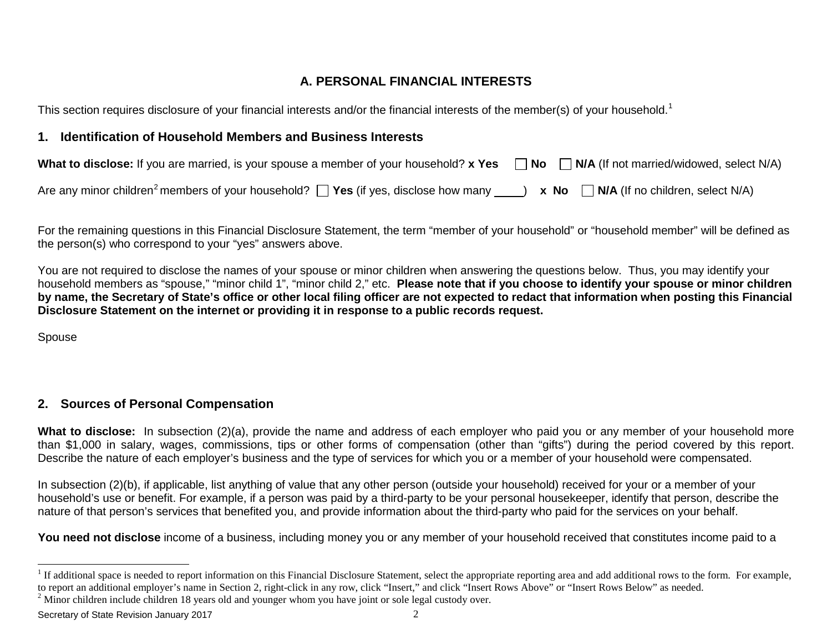## <span id="page-1-1"></span><span id="page-1-0"></span>**A. PERSONAL FINANCIAL INTERESTS**

This section requires disclosure of your financial interests and/or the financial interests of the member(s) of your household.<sup>[1](#page-1-0)</sup>

## **1. Identification of Household Members and Business Interests**

| What to disclose: If you are married, is your spouse a member of your household? x Yes $\Box$ No $\Box$ N/A (If not married/widowed, select N/A)           |  |
|------------------------------------------------------------------------------------------------------------------------------------------------------------|--|
| Are any minor children <sup>2</sup> members of your household? $\Box$ Yes (if yes, disclose how many $\Box$ ) x No $\Box$ N/A (If no children, select N/A) |  |

For the remaining questions in this Financial Disclosure Statement, the term "member of your household" or "household member" will be defined as the person(s) who correspond to your "yes" answers above.

You are not required to disclose the names of your spouse or minor children when answering the questions below. Thus, you may identify your household members as "spouse," "minor child 1", "minor child 2," etc. **Please note that if you choose to identify your spouse or minor children by name, the Secretary of State's office or other local filing officer are not expected to redact that information when posting this Financial Disclosure Statement on the internet or providing it in response to a public records request.** 

Spouse

# **2. Sources of Personal Compensation**

What to disclose: In subsection (2)(a), provide the name and address of each employer who paid you or any member of your household more than \$1,000 in salary, wages, commissions, tips or other forms of compensation (other than "gifts") during the period covered by this report. Describe the nature of each employer's business and the type of services for which you or a member of your household were compensated.

In subsection (2)(b), if applicable, list anything of value that any other person (outside your household) received for your or a member of your household's use or benefit. For example, if a person was paid by a third-party to be your personal housekeeper, identify that person, describe the nature of that person's services that benefited you, and provide information about the third-party who paid for the services on your behalf.

**You need not disclose** income of a business, including money you or any member of your household received that constitutes income paid to a

Secretary of State Revision January 2017 **2** 

<sup>&</sup>lt;sup>1</sup> If additional space is needed to report information on this Financial Disclosure Statement, select the appropriate reporting area and add additional rows to the form. For example, to report an additional employer's name in Section 2, right-click in any row, click "Insert," and click "Insert Rows Above" or "Insert Rows Below" as needed.<br><sup>2</sup> Minor children include children 18 years old and younger who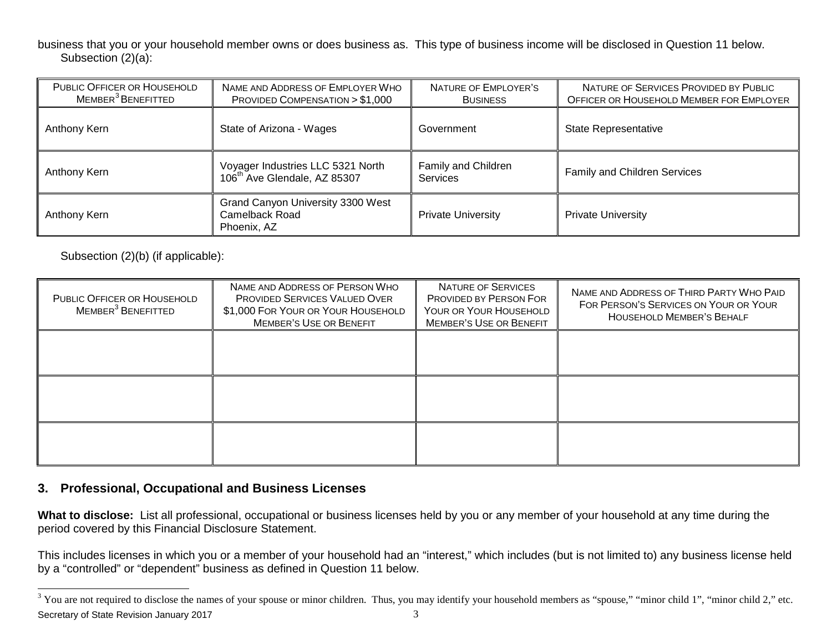<span id="page-2-0"></span>business that you or your household member owns or does business as. This type of business income will be disclosed in Question 11 below. Subsection (2)(a):

| PUBLIC OFFICER OR HOUSEHOLD<br>MEMBER <sup>3</sup> BENEFITTED | NAME AND ADDRESS OF EMPLOYER WHO<br>PROVIDED COMPENSATION > \$1,000           | NATURE OF EMPLOYER'S<br><b>BUSINESS</b> | NATURE OF SERVICES PROVIDED BY PUBLIC<br>OFFICER OR HOUSEHOLD MEMBER FOR EMPLOYER |
|---------------------------------------------------------------|-------------------------------------------------------------------------------|-----------------------------------------|-----------------------------------------------------------------------------------|
| Anthony Kern                                                  | State of Arizona - Wages                                                      | Government                              | <b>State Representative</b>                                                       |
| Anthony Kern                                                  | Voyager Industries LLC 5321 North<br>106 <sup>th</sup> Ave Glendale, AZ 85307 | Family and Children<br><b>Services</b>  | Family and Children Services                                                      |
| Anthony Kern                                                  | Grand Canyon University 3300 West<br>Camelback Road<br>Phoenix, AZ            | <b>Private University</b>               | <b>Private University</b>                                                         |

Subsection (2)(b) (if applicable):

| PUBLIC OFFICER OR HOUSEHOLD<br>MEMBER <sup>3</sup> BENEFITTED | NAME AND ADDRESS OF PERSON WHO<br>PROVIDED SERVICES VALUED OVER<br>\$1,000 FOR YOUR OR YOUR HOUSEHOLD<br><b>MEMBER'S USE OR BENEFIT</b> | NATURE OF SERVICES<br>PROVIDED BY PERSON FOR<br>YOUR OR YOUR HOUSEHOLD<br><b>MEMBER'S USE OR BENEFIT</b> | NAME AND ADDRESS OF THIRD PARTY WHO PAID<br>FOR PERSON'S SERVICES ON YOUR OR YOUR<br><b>HOUSEHOLD MEMBER'S BEHALF</b> |
|---------------------------------------------------------------|-----------------------------------------------------------------------------------------------------------------------------------------|----------------------------------------------------------------------------------------------------------|-----------------------------------------------------------------------------------------------------------------------|
|                                                               |                                                                                                                                         |                                                                                                          |                                                                                                                       |
|                                                               |                                                                                                                                         |                                                                                                          |                                                                                                                       |
|                                                               |                                                                                                                                         |                                                                                                          |                                                                                                                       |

### **3. Professional, Occupational and Business Licenses**

**What to disclose:** List all professional, occupational or business licenses held by you or any member of your household at any time during the period covered by this Financial Disclosure Statement.

This includes licenses in which you or a member of your household had an "interest," which includes (but is not limited to) any business license held by a "controlled" or "dependent" business as defined in Question 11 below.

Secretary of State Revision January 2017 3 <sup>3</sup> You are not required to disclose the names of your spouse or minor children. Thus, you may identify your household members as "spouse," "minor child 1", "minor child 2," etc.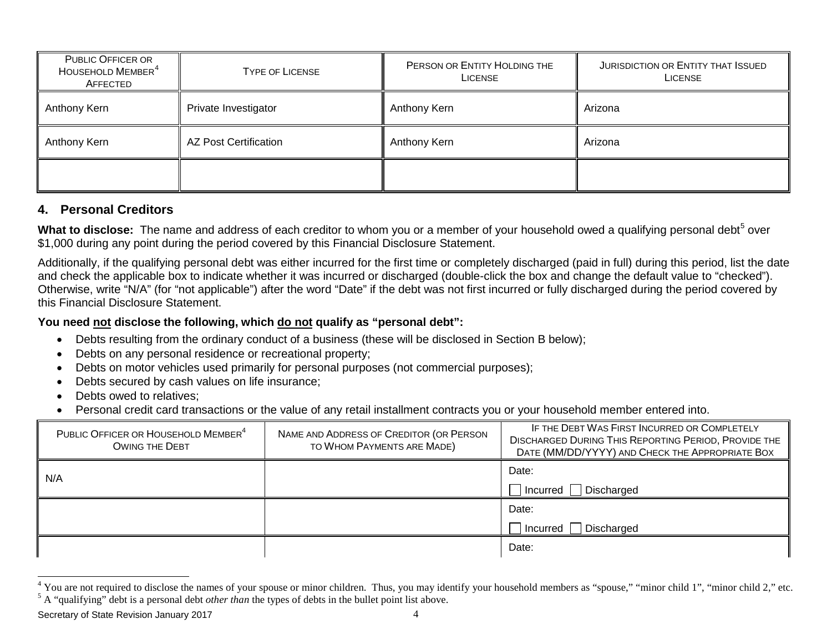<span id="page-3-1"></span><span id="page-3-0"></span>

| PUBLIC OFFICER OR<br>HOUSEHOLD MEMBER <sup>4</sup><br>AFFECTED | <b>TYPE OF LICENSE</b>       | PERSON OR ENTITY HOLDING THE<br><b>LICENSE</b> | JURISDICTION OR ENTITY THAT ISSUED<br><b>LICENSE</b> |
|----------------------------------------------------------------|------------------------------|------------------------------------------------|------------------------------------------------------|
| Anthony Kern                                                   | Private Investigator         | Anthony Kern                                   | Arizona                                              |
| Anthony Kern                                                   | <b>AZ Post Certification</b> | Anthony Kern                                   | Arizona                                              |
|                                                                |                              |                                                |                                                      |

### **4. Personal Creditors**

What to disclose: The name and address of each creditor to whom you or a member of your household owed a qualifying personal debt<sup>[5](#page-3-1)</sup> over \$1,000 during any point during the period covered by this Financial Disclosure Statement.

Additionally, if the qualifying personal debt was either incurred for the first time or completely discharged (paid in full) during this period, list the date and check the applicable box to indicate whether it was incurred or discharged (double-click the box and change the default value to "checked"). Otherwise, write "N/A" (for "not applicable") after the word "Date" if the debt was not first incurred or fully discharged during the period covered by this Financial Disclosure Statement.

### **You need not disclose the following, which do not qualify as "personal debt":**

- Debts resulting from the ordinary conduct of a business (these will be disclosed in Section B below);
- Debts on any personal residence or recreational property;
- Debts on motor vehicles used primarily for personal purposes (not commercial purposes);
- Debts secured by cash values on life insurance;
- Debts owed to relatives:
- Personal credit card transactions or the value of any retail installment contracts you or your household member entered into.

| PUBLIC OFFICER OR HOUSEHOLD MEMBER <sup>4</sup><br><b>OWING THE DEBT</b> | NAME AND ADDRESS OF CREDITOR (OR PERSON<br>TO WHOM PAYMENTS ARE MADE) | IF THE DEBT WAS FIRST INCURRED OR COMPLETELY<br><b>DISCHARGED DURING THIS REPORTING PERIOD, PROVIDE THE</b><br>DATE (MM/DD/YYYY) AND CHECK THE APPROPRIATE BOX |
|--------------------------------------------------------------------------|-----------------------------------------------------------------------|----------------------------------------------------------------------------------------------------------------------------------------------------------------|
| N/A                                                                      |                                                                       | Date:                                                                                                                                                          |
|                                                                          |                                                                       | $\Box$ Incurred $\Box$ Discharged                                                                                                                              |
|                                                                          |                                                                       | Date:                                                                                                                                                          |
|                                                                          |                                                                       | Discharged<br>Incurred                                                                                                                                         |
|                                                                          |                                                                       | Date:                                                                                                                                                          |

<sup>&</sup>lt;sup>4</sup> You are not required to disclose the names of your spouse or minor children. Thus, you may identify your household members as "spouse," "minor child 1", "minor child 2," etc.<br><sup>5</sup> A "qualifying" debt is a personal debt

Secretary of State Revision January 2017 4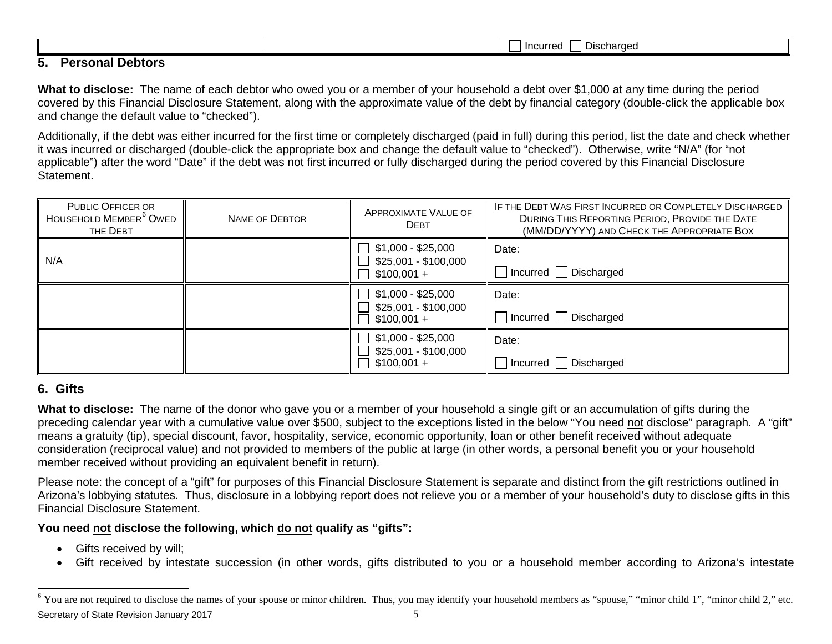<span id="page-4-0"></span>

|                               | -<br>-----<br>araec<br>. . |
|-------------------------------|----------------------------|
| -<br>-<br>-<br>J.<br>-------- |                            |

**What to disclose:** The name of each debtor who owed you or a member of your household a debt over \$1,000 at any time during the period covered by this Financial Disclosure Statement, along with the approximate value of the debt by financial category (double-click the applicable box and change the default value to "checked").

Additionally, if the debt was either incurred for the first time or completely discharged (paid in full) during this period, list the date and check whether it was incurred or discharged (double-click the appropriate box and change the default value to "checked"). Otherwise, write "N/A" (for "not applicable") after the word "Date" if the debt was not first incurred or fully discharged during the period covered by this Financial Disclosure Statement.

| <b>PUBLIC OFFICER OR</b><br>HOUSEHOLD MEMBER <sup>6</sup> OWED<br>THE DEBT | <b>NAME OF DEBTOR</b> | <b>APPROXIMATE VALUE OF</b><br><b>DEBT</b>                 | IF THE DEBT WAS FIRST INCURRED OR COMPLETELY DISCHARGED<br>DURING THIS REPORTING PERIOD, PROVIDE THE DATE<br>(MM/DD/YYYY) AND CHECK THE APPROPRIATE BOX |
|----------------------------------------------------------------------------|-----------------------|------------------------------------------------------------|---------------------------------------------------------------------------------------------------------------------------------------------------------|
| N/A                                                                        |                       | \$1,000 - \$25,000<br>\$25,001 - \$100,000<br>$$100,001 +$ | Date:<br>$\Box$ Incurred $\Box$ Discharged                                                                                                              |
|                                                                            |                       | $$1,000 - $25,000$<br>\$25,001 - \$100,000<br>$$100,001 +$ | Date:<br>Incurred   Discharged                                                                                                                          |
|                                                                            |                       | \$1,000 - \$25,000<br>\$25,001 - \$100,000<br>$$100,001 +$ | Date:<br>Incurred Discharged                                                                                                                            |

## **6. Gifts**

**What to disclose:** The name of the donor who gave you or a member of your household a single gift or an accumulation of gifts during the preceding calendar year with a cumulative value over \$500, subject to the exceptions listed in the below "You need not disclose" paragraph. A "gift" means a gratuity (tip), special discount, favor, hospitality, service, economic opportunity, loan or other benefit received without adequate consideration (reciprocal value) and not provided to members of the public at large (in other words, a personal benefit you or your household member received without providing an equivalent benefit in return).

Please note: the concept of a "gift" for purposes of this Financial Disclosure Statement is separate and distinct from the gift restrictions outlined in Arizona's lobbying statutes. Thus, disclosure in a lobbying report does not relieve you or a member of your household's duty to disclose gifts in this Financial Disclosure Statement.

### **You need not disclose the following, which do not qualify as "gifts":**

- Gifts received by will;
- Gift received by intestate succession (in other words, gifts distributed to you or a household member according to Arizona's intestate

Secretary of State Revision January 2017 **5** <sup>6</sup> You are not required to disclose the names of your spouse or minor children. Thus, you may identify your household members as "spouse," "minor child 1", "minor child 2," etc.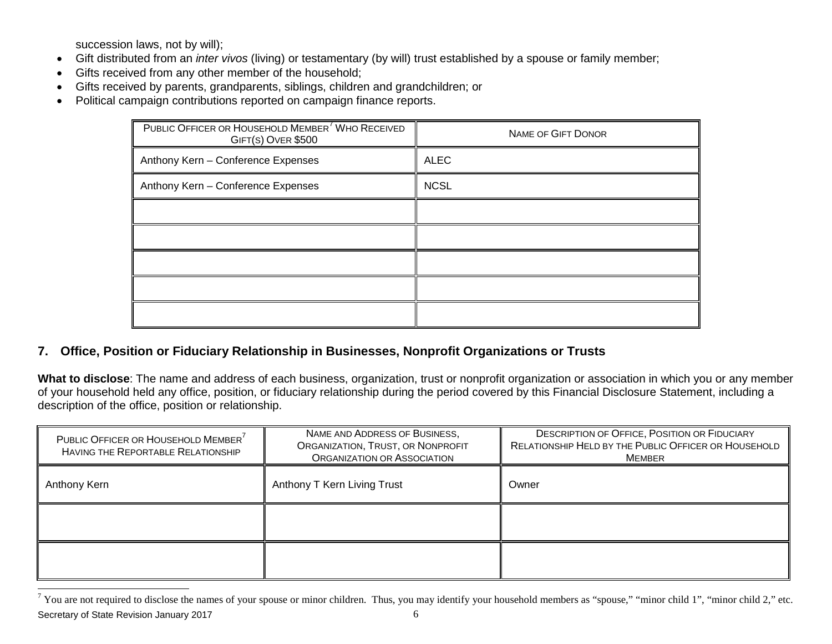succession laws, not by will);

- Gift distributed from an *inter vivos* (living) or testamentary (by will) trust established by a spouse or family member;
- Gifts received from any other member of the household;
- Gifts received by parents, grandparents, siblings, children and grandchildren; or
- Political campaign contributions reported on campaign finance reports.

<span id="page-5-0"></span>

| PUBLIC OFFICER OR HOUSEHOLD MEMBER <sup>7</sup> WHO RECEIVED<br>GIFT(S) OVER \$500 | <b>NAME OF GIFT DONOR</b> |
|------------------------------------------------------------------------------------|---------------------------|
| Anthony Kern - Conference Expenses                                                 | <b>ALEC</b>               |
| Anthony Kern - Conference Expenses                                                 | <b>NCSL</b>               |
|                                                                                    |                           |
|                                                                                    |                           |
|                                                                                    |                           |
|                                                                                    |                           |
|                                                                                    |                           |

### **7. Office, Position or Fiduciary Relationship in Businesses, Nonprofit Organizations or Trusts**

**What to disclose**: The name and address of each business, organization, trust or nonprofit organization or association in which you or any member of your household held any office, position, or fiduciary relationship during the period covered by this Financial Disclosure Statement, including a description of the office, position or relationship.

| PUBLIC OFFICER OR HOUSEHOLD MEMBER <sup>7</sup><br>HAVING THE REPORTABLE RELATIONSHIP | NAME AND ADDRESS OF BUSINESS,<br>ORGANIZATION, TRUST, OR NONPROFIT<br><b>ORGANIZATION OR ASSOCIATION</b> | <b>DESCRIPTION OF OFFICE, POSITION OR FIDUCIARY</b><br>RELATIONSHIP HELD BY THE PUBLIC OFFICER OR HOUSEHOLD<br><b>MEMBER</b> |
|---------------------------------------------------------------------------------------|----------------------------------------------------------------------------------------------------------|------------------------------------------------------------------------------------------------------------------------------|
| Anthony Kern                                                                          | Anthony T Kern Living Trust                                                                              | Owner                                                                                                                        |
|                                                                                       |                                                                                                          |                                                                                                                              |
|                                                                                       |                                                                                                          |                                                                                                                              |

Secretary of State Revision January 2017 6  $7$  You are not required to disclose the names of your spouse or minor children. Thus, you may identify your household members as "spouse," "minor child 1", "minor child 2," etc.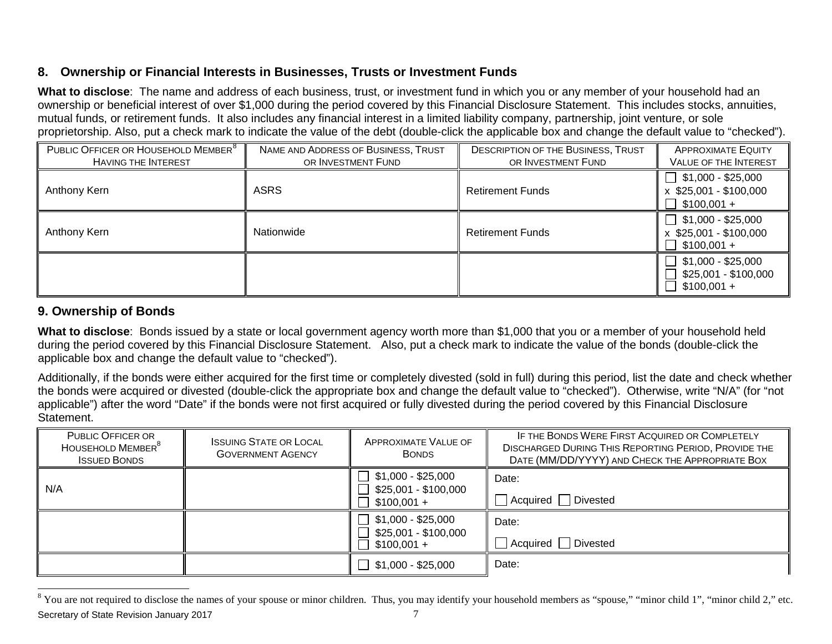## <span id="page-6-0"></span>**8. Ownership or Financial Interests in Businesses, Trusts or Investment Funds**

**What to disclose**: The name and address of each business, trust, or investment fund in which you or any member of your household had an ownership or beneficial interest of over \$1,000 during the period covered by this Financial Disclosure Statement. This includes stocks, annuities, mutual funds, or retirement funds. It also includes any financial interest in a limited liability company, partnership, joint venture, or sole proprietorship. Also, put a check mark to indicate the value of the debt (double-click the applicable box and change the default value to "checked").

| PUBLIC OFFICER OR HOUSEHOLD MEMBER <sup>8</sup><br><b>HAVING THE INTEREST</b> | NAME AND ADDRESS OF BUSINESS, TRUST<br>OR INVESTMENT FUND | <b>DESCRIPTION OF THE BUSINESS, TRUST</b><br>OR INVESTMENT FUND | <b>APPROXIMATE EQUITY</b><br><b>VALUE OF THE INTEREST</b>      |
|-------------------------------------------------------------------------------|-----------------------------------------------------------|-----------------------------------------------------------------|----------------------------------------------------------------|
| Anthony Kern                                                                  | <b>ASRS</b>                                               | <b>Retirement Funds</b>                                         | $$1,000 - $25,000$<br>$x$ \$25,001 - \$100,000<br>$$100,001 +$ |
| Anthony Kern                                                                  | Nationwide                                                | <b>Retirement Funds</b>                                         | $$1,000 - $25,000$<br>$x$ \$25,001 - \$100,000<br>$$100,001 +$ |
|                                                                               |                                                           |                                                                 | $$1,000 - $25,000$<br>\$25,001 - \$100,000<br>$$100,001 +$     |

## **9. Ownership of Bonds**

**What to disclose**: Bonds issued by a state or local government agency worth more than \$1,000 that you or a member of your household held during the period covered by this Financial Disclosure Statement. Also, put a check mark to indicate the value of the bonds (double-click the applicable box and change the default value to "checked").

Additionally, if the bonds were either acquired for the first time or completely divested (sold in full) during this period, list the date and check whether the bonds were acquired or divested (double-click the appropriate box and change the default value to "checked"). Otherwise, write "N/A" (for "not applicable") after the word "Date" if the bonds were not first acquired or fully divested during the period covered by this Financial Disclosure Statement.

| <b>PUBLIC OFFICER OR</b><br>HOUSEHOLD MEMBER <sup>8</sup><br><b>ISSUED BONDS</b> | <b>ISSUING STATE OR LOCAL</b><br><b>GOVERNMENT AGENCY</b> | APPROXIMATE VALUE OF<br><b>BONDS</b>                       | IF THE BONDS WERE FIRST ACQUIRED OR COMPLETELY<br><b>DISCHARGED DURING THIS REPORTING PERIOD, PROVIDE THE</b><br>DATE (MM/DD/YYYY) AND CHECK THE APPROPRIATE BOX |
|----------------------------------------------------------------------------------|-----------------------------------------------------------|------------------------------------------------------------|------------------------------------------------------------------------------------------------------------------------------------------------------------------|
| N/A                                                                              |                                                           | $$1,000 - $25,000$<br>\$25,001 - \$100,000<br>$$100,001 +$ | Date:<br>Divested<br>Acquired                                                                                                                                    |
|                                                                                  |                                                           | $$1,000 - $25,000$<br>\$25,001 - \$100,000<br>$$100,001 +$ | Date:<br>Divested<br>Acquired                                                                                                                                    |
|                                                                                  |                                                           | $$1,000 - $25,000$                                         | Date:                                                                                                                                                            |

Secretary of State Revision January 2017 **7** and the state of  $\frac{7}{7}$ <sup>8</sup> You are not required to disclose the names of your spouse or minor children. Thus, you may identify your household members as "spouse," "minor child 1", "minor child 2," etc.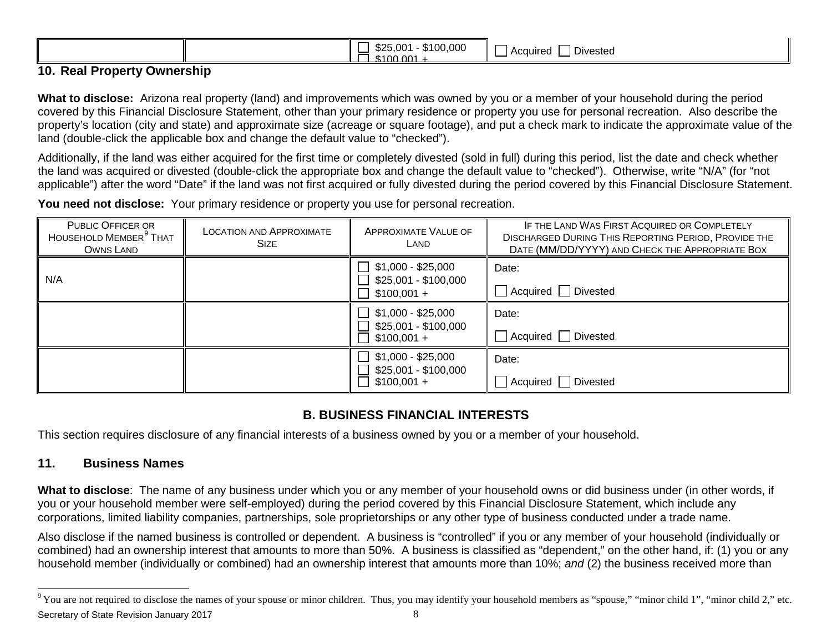<span id="page-7-0"></span>

|--|

### **10. Real Property Ownership**

**What to disclose:** Arizona real property (land) and improvements which was owned by you or a member of your household during the period covered by this Financial Disclosure Statement, other than your primary residence or property you use for personal recreation. Also describe the property's location (city and state) and approximate size (acreage or square footage), and put a check mark to indicate the approximate value of the land (double-click the applicable box and change the default value to "checked").

Additionally, if the land was either acquired for the first time or completely divested (sold in full) during this period, list the date and check whether the land was acquired or divested (double-click the appropriate box and change the default value to "checked"). Otherwise, write "N/A" (for "not applicable") after the word "Date" if the land was not first acquired or fully divested during the period covered by this Financial Disclosure Statement.

**You need not disclose:** Your primary residence or property you use for personal recreation.

| <b>PUBLIC OFFICER OR</b><br>HOUSEHOLD MEMBER <sup>9</sup> THAT<br>OWNS LAND | <b>LOCATION AND APPROXIMATE</b><br><b>SIZE</b> | <b>APPROXIMATE VALUE OF</b><br>LAND                                                    | IF THE LAND WAS FIRST ACQUIRED OR COMPLETELY<br><b>DISCHARGED DURING THIS REPORTING PERIOD, PROVIDE THE</b><br>DATE (MM/DD/YYYY) AND CHECK THE APPROPRIATE BOX |
|-----------------------------------------------------------------------------|------------------------------------------------|----------------------------------------------------------------------------------------|----------------------------------------------------------------------------------------------------------------------------------------------------------------|
| N/A                                                                         |                                                | $\Box$ \$1,000 - \$25,000<br>\$25,001 - \$100,000<br>$\perp$<br>$\Box$<br>$$100,001 +$ | Date:<br>Acquired   Divested                                                                                                                                   |
|                                                                             |                                                | $$1,000 - $25,000$<br>\$25,001 - \$100,000<br>$\Box$<br>$$100,001 +$                   | Date:<br>Acquired   Divested                                                                                                                                   |
|                                                                             |                                                | $\mathbf{L}$<br>\$1,000 - \$25,000<br>\$25,001 - \$100,000<br>$$100,001 +$             | Date:<br>Acquired   Divested                                                                                                                                   |

## **B. BUSINESS FINANCIAL INTERESTS**

This section requires disclosure of any financial interests of a business owned by you or a member of your household.

### **11. Business Names**

**What to disclose**: The name of any business under which you or any member of your household owns or did business under (in other words, if you or your household member were self-employed) during the period covered by this Financial Disclosure Statement, which include any corporations, limited liability companies, partnerships, sole proprietorships or any other type of business conducted under a trade name.

Also disclose if the named business is controlled or dependent. A business is "controlled" if you or any member of your household (individually or combined) had an ownership interest that amounts to more than 50%. A business is classified as "dependent," on the other hand, if: (1) you or any household member (individually or combined) had an ownership interest that amounts more than 10%; *and* (2) the business received more than

Secretary of State Revision January 2017 **8** 8 <sup>9</sup> You are not required to disclose the names of your spouse or minor children. Thus, you may identify your household members as "spouse," "minor child 1", "minor child 2," etc.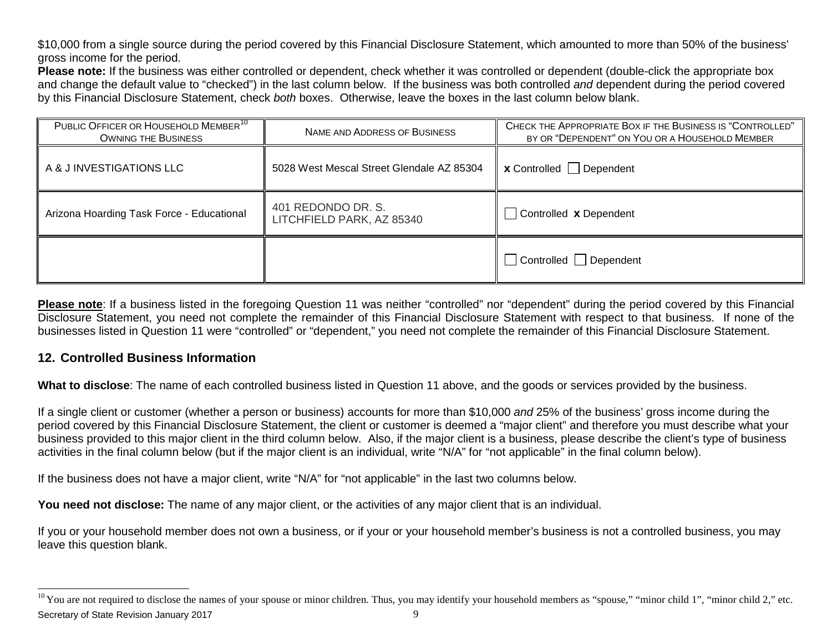<span id="page-8-0"></span>\$10,000 from a single source during the period covered by this Financial Disclosure Statement, which amounted to more than 50% of the business' gross income for the period.

**Please note:** If the business was either controlled or dependent, check whether it was controlled or dependent (double-click the appropriate box and change the default value to "checked") in the last column below. If the business was both controlled *and* dependent during the period covered by this Financial Disclosure Statement, check *both* boxes. Otherwise, leave the boxes in the last column below blank.

| PUBLIC OFFICER OR HOUSEHOLD MEMBER <sup>10</sup><br><b>OWNING THE BUSINESS</b> | CHECK THE APPROPRIATE BOX IF THE BUSINESS IS "CONTROLLED"<br>NAME AND ADDRESS OF BUSINESS<br>BY OR "DEPENDENT" ON YOU OR A HOUSEHOLD MEMBER |                                      |
|--------------------------------------------------------------------------------|---------------------------------------------------------------------------------------------------------------------------------------------|--------------------------------------|
| A & J INVESTIGATIONS LLC                                                       | 5028 West Mescal Street Glendale AZ 85304                                                                                                   | $x$ Controlled Dependent             |
| Arizona Hoarding Task Force - Educational                                      | 401 REDONDO DR. S.<br>LITCHFIELD PARK, AZ 85340                                                                                             | $\Box$ Controlled <b>x</b> Dependent |
|                                                                                |                                                                                                                                             | Controlled Dependent                 |

**Please note**: If a business listed in the foregoing Question 11 was neither "controlled" nor "dependent" during the period covered by this Financial Disclosure Statement, you need not complete the remainder of this Financial Disclosure Statement with respect to that business. If none of the businesses listed in Question 11 were "controlled" or "dependent," you need not complete the remainder of this Financial Disclosure Statement.

### **12. Controlled Business Information**

**What to disclose**: The name of each controlled business listed in Question 11 above, and the goods or services provided by the business.

If a single client or customer (whether a person or business) accounts for more than \$10,000 *and* 25% of the business' gross income during the period covered by this Financial Disclosure Statement, the client or customer is deemed a "major client" and therefore you must describe what your business provided to this major client in the third column below. Also, if the major client is a business, please describe the client's type of business activities in the final column below (but if the major client is an individual, write "N/A" for "not applicable" in the final column below).

If the business does not have a major client, write "N/A" for "not applicable" in the last two columns below.

You need not disclose: The name of any major client, or the activities of any major client that is an individual.

If you or your household member does not own a business, or if your or your household member's business is not a controlled business, you may leave this question blank.

Secretary of State Revision January 2017 **9** and the state of  $\frac{9}{9}$ <sup>10</sup> You are not required to disclose the names of your spouse or minor children. Thus, you may identify your household members as "spouse," "minor child 1", "minor child 2," etc.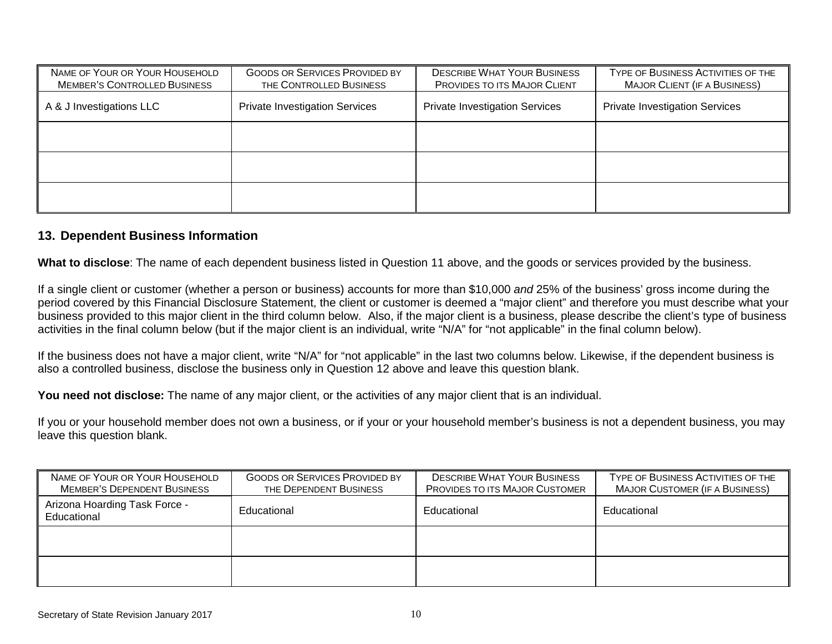| NAME OF YOUR OR YOUR HOUSEHOLD<br><b>MEMBER'S CONTROLLED BUSINESS</b> | <b>GOODS OR SERVICES PROVIDED BY</b><br>THE CONTROLLED BUSINESS | <b>DESCRIBE WHAT YOUR BUSINESS</b><br>PROVIDES TO ITS MAJOR CLIENT | TYPE OF BUSINESS ACTIVITIES OF THE<br><b>MAJOR CLIENT (IF A BUSINESS)</b> |
|-----------------------------------------------------------------------|-----------------------------------------------------------------|--------------------------------------------------------------------|---------------------------------------------------------------------------|
| A & J Investigations LLC                                              | <b>Private Investigation Services</b>                           | <b>Private Investigation Services</b>                              | <b>Private Investigation Services</b>                                     |
|                                                                       |                                                                 |                                                                    |                                                                           |
|                                                                       |                                                                 |                                                                    |                                                                           |
|                                                                       |                                                                 |                                                                    |                                                                           |

#### **13. Dependent Business Information**

**What to disclose**: The name of each dependent business listed in Question 11 above, and the goods or services provided by the business.

If a single client or customer (whether a person or business) accounts for more than \$10,000 *and* 25% of the business' gross income during the period covered by this Financial Disclosure Statement, the client or customer is deemed a "major client" and therefore you must describe what your business provided to this major client in the third column below. Also, if the major client is a business, please describe the client's type of business activities in the final column below (but if the major client is an individual, write "N/A" for "not applicable" in the final column below).

If the business does not have a major client, write "N/A" for "not applicable" in the last two columns below. Likewise, if the dependent business is also a controlled business, disclose the business only in Question 12 above and leave this question blank.

**You need not disclose:** The name of any major client, or the activities of any major client that is an individual.

If you or your household member does not own a business, or if your or your household member's business is not a dependent business, you may leave this question blank.

| NAME OF YOUR OR YOUR HOUSEHOLD<br><b>MEMBER'S DEPENDENT BUSINESS</b> | <b>GOODS OR SERVICES PROVIDED BY</b><br>THE DEPENDENT BUSINESS | <b>DESCRIBE WHAT YOUR BUSINESS</b><br><b>PROVIDES TO ITS MAJOR CUSTOMER</b> | TYPE OF BUSINESS ACTIVITIES OF THE<br><b>MAJOR CUSTOMER (IF A BUSINESS)</b> |
|----------------------------------------------------------------------|----------------------------------------------------------------|-----------------------------------------------------------------------------|-----------------------------------------------------------------------------|
| Arizona Hoarding Task Force -<br>Educational                         | Educational                                                    | Educational                                                                 | Educational                                                                 |
|                                                                      |                                                                |                                                                             |                                                                             |
|                                                                      |                                                                |                                                                             |                                                                             |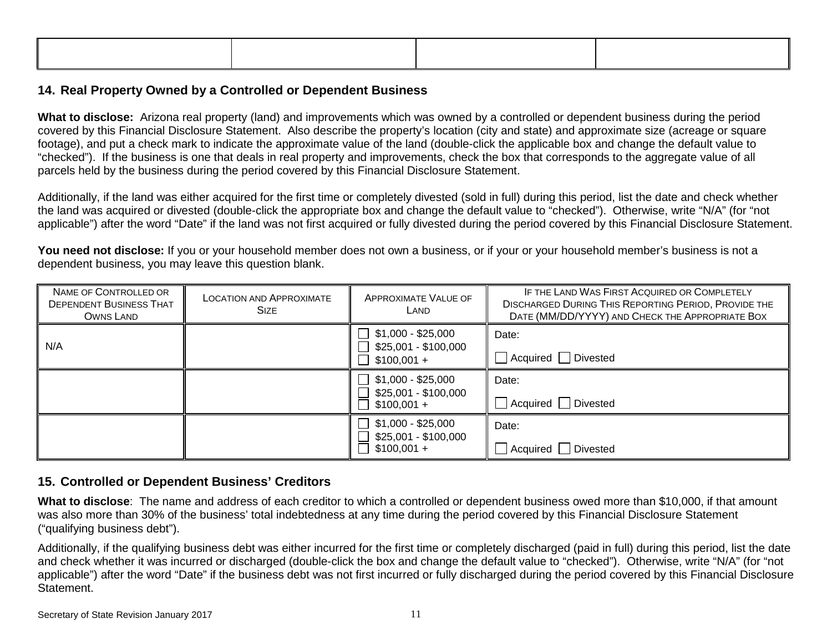### **14. Real Property Owned by a Controlled or Dependent Business**

**What to disclose:** Arizona real property (land) and improvements which was owned by a controlled or dependent business during the period covered by this Financial Disclosure Statement. Also describe the property's location (city and state) and approximate size (acreage or square footage), and put a check mark to indicate the approximate value of the land (double-click the applicable box and change the default value to "checked"). If the business is one that deals in real property and improvements, check the box that corresponds to the aggregate value of all parcels held by the business during the period covered by this Financial Disclosure Statement.

Additionally, if the land was either acquired for the first time or completely divested (sold in full) during this period, list the date and check whether the land was acquired or divested (double-click the appropriate box and change the default value to "checked"). Otherwise, write "N/A" (for "not applicable") after the word "Date" if the land was not first acquired or fully divested during the period covered by this Financial Disclosure Statement.

You need not disclose: If you or your household member does not own a business, or if your or your household member's business is not a dependent business, you may leave this question blank.

| NAME OF CONTROLLED OR<br><b>DEPENDENT BUSINESS THAT</b><br>OWNS LAND | <b>LOCATION AND APPROXIMATE</b><br><b>SIZE</b> | <b>APPROXIMATE VALUE OF</b><br>LAND                        | IF THE LAND WAS FIRST ACQUIRED OR COMPLETELY<br><b>DISCHARGED DURING THIS REPORTING PERIOD, PROVIDE THE</b><br>DATE (MM/DD/YYYY) AND CHECK THE APPROPRIATE BOX |
|----------------------------------------------------------------------|------------------------------------------------|------------------------------------------------------------|----------------------------------------------------------------------------------------------------------------------------------------------------------------|
| N/A                                                                  |                                                | \$1,000 - \$25,000<br>\$25,001 - \$100,000<br>$$100,001 +$ | Date:<br>Divested<br>Acquired                                                                                                                                  |
|                                                                      |                                                | \$1,000 - \$25,000<br>\$25,001 - \$100,000<br>$$100,001 +$ | Date:<br>Divested<br>Acquired                                                                                                                                  |
|                                                                      |                                                | $$1,000 - $25,000$<br>\$25,001 - \$100,000<br>$$100,001 +$ | Date:<br>Divested<br>Acquired                                                                                                                                  |

### **15. Controlled or Dependent Business' Creditors**

**What to disclose**: The name and address of each creditor to which a controlled or dependent business owed more than \$10,000, if that amount was also more than 30% of the business' total indebtedness at any time during the period covered by this Financial Disclosure Statement ("qualifying business debt").

Additionally, if the qualifying business debt was either incurred for the first time or completely discharged (paid in full) during this period, list the date and check whether it was incurred or discharged (double-click the box and change the default value to "checked"). Otherwise, write "N/A" (for "not applicable") after the word "Date" if the business debt was not first incurred or fully discharged during the period covered by this Financial Disclosure Statement.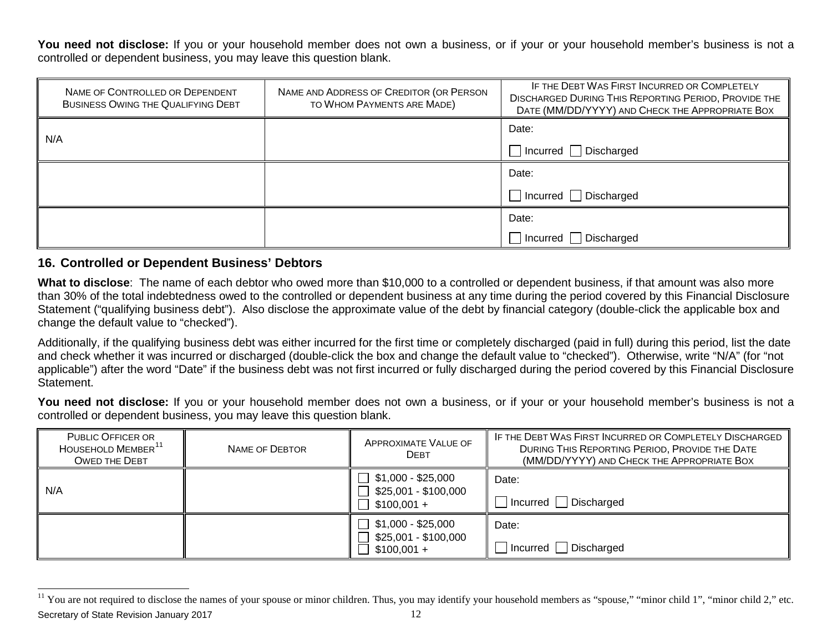<span id="page-11-0"></span>You need not disclose: If you or your household member does not own a business, or if your or your household member's business is not a controlled or dependent business, you may leave this question blank.

| NAME OF CONTROLLED OR DEPENDENT<br>BUSINESS OWING THE QUALIFYING DEBT | NAME AND ADDRESS OF CREDITOR (OR PERSON<br>TO WHOM PAYMENTS ARE MADE) | IF THE DEBT WAS FIRST INCURRED OR COMPLETELY<br><b>DISCHARGED DURING THIS REPORTING PERIOD, PROVIDE THE</b><br>DATE (MM/DD/YYYY) AND CHECK THE APPROPRIATE BOX |
|-----------------------------------------------------------------------|-----------------------------------------------------------------------|----------------------------------------------------------------------------------------------------------------------------------------------------------------|
| N/A                                                                   |                                                                       | Date:                                                                                                                                                          |
|                                                                       |                                                                       | $\Box$ Incurred $\Box$ Discharged                                                                                                                              |
|                                                                       |                                                                       | Date:                                                                                                                                                          |
|                                                                       |                                                                       | $\Box$ Incurred $\Box$ Discharged                                                                                                                              |
|                                                                       |                                                                       | Date:                                                                                                                                                          |
|                                                                       |                                                                       | □ Incurred □ Discharged                                                                                                                                        |

#### **16. Controlled or Dependent Business' Debtors**

**What to disclose**: The name of each debtor who owed more than \$10,000 to a controlled or dependent business, if that amount was also more than 30% of the total indebtedness owed to the controlled or dependent business at any time during the period covered by this Financial Disclosure Statement ("qualifying business debt"). Also disclose the approximate value of the debt by financial category (double-click the applicable box and change the default value to "checked").

Additionally, if the qualifying business debt was either incurred for the first time or completely discharged (paid in full) during this period, list the date and check whether it was incurred or discharged (double-click the box and change the default value to "checked"). Otherwise, write "N/A" (for "not applicable") after the word "Date" if the business debt was not first incurred or fully discharged during the period covered by this Financial Disclosure Statement.

You need not disclose: If you or your household member does not own a business, or if your or your household member's business is not a controlled or dependent business, you may leave this question blank.

| <b>PUBLIC OFFICER OR</b><br>HOUSEHOLD MEMBER <sup>11</sup><br><b>OWED THE DEBT</b> | NAME OF DEBTOR | APPROXIMATE VALUE OF<br><b>DEBT</b>                        | IF THE DEBT WAS FIRST INCURRED OR COMPLETELY DISCHARGED<br>DURING THIS REPORTING PERIOD, PROVIDE THE DATE<br>(MM/DD/YYYY) AND CHECK THE APPROPRIATE BOX |
|------------------------------------------------------------------------------------|----------------|------------------------------------------------------------|---------------------------------------------------------------------------------------------------------------------------------------------------------|
| N/A                                                                                |                | $$1,000 - $25,000$<br>\$25,001 - \$100,000<br>$$100,001 +$ | Date:<br>$\Box$ Incurred $\Box$ Discharged                                                                                                              |
|                                                                                    |                | $$1,000 - $25,000$<br>\$25,001 - \$100,000<br>$$100,001 +$ | Date:<br>$\Box$ Incurred $\Box$ Discharged                                                                                                              |

Secretary of State Revision January 2017 12 <sup>11</sup> You are not required to disclose the names of your spouse or minor children. Thus, you may identify your household members as "spouse," "minor child 1", "minor child 2," etc.